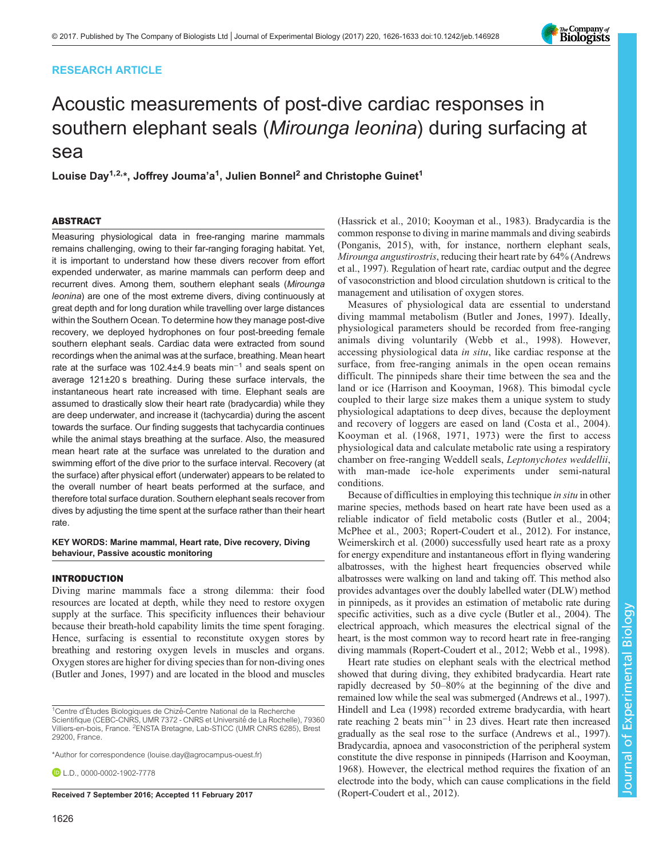## RESEARCH ARTICLE



# Acoustic measurements of post-dive cardiac responses in southern elephant seals (Mirounga leonina) during surfacing at sea

Louise Day<sup>1,2,</sup>\*, Joffrey Jouma'a<sup>1</sup>, Julien Bonnel<sup>2</sup> and Christophe Guinet<sup>1</sup>

## ABSTRACT

Measuring physiological data in free-ranging marine mammals remains challenging, owing to their far-ranging foraging habitat. Yet, it is important to understand how these divers recover from effort expended underwater, as marine mammals can perform deep and recurrent dives. Among them, southern elephant seals (Mirounga leonina) are one of the most extreme divers, diving continuously at great depth and for long duration while travelling over large distances within the Southern Ocean. To determine how they manage post-dive recovery, we deployed hydrophones on four post-breeding female southern elephant seals. Cardiac data were extracted from sound recordings when the animal was at the surface, breathing. Mean heart rate at the surface was 102.4±4.9 beats min−<sup>1</sup> and seals spent on average 121±20 s breathing. During these surface intervals, the instantaneous heart rate increased with time. Elephant seals are assumed to drastically slow their heart rate (bradycardia) while they are deep underwater, and increase it (tachycardia) during the ascent towards the surface. Our finding suggests that tachycardia continues while the animal stays breathing at the surface. Also, the measured mean heart rate at the surface was unrelated to the duration and swimming effort of the dive prior to the surface interval. Recovery (at the surface) after physical effort (underwater) appears to be related to the overall number of heart beats performed at the surface, and therefore total surface duration. Southern elephant seals recover from dives by adjusting the time spent at the surface rather than their heart rate.

## KEY WORDS: Marine mammal, Heart rate, Dive recovery, Diving behaviour, Passive acoustic monitoring

## INTRODUCTION

Diving marine mammals face a strong dilemma: their food resources are located at depth, while they need to restore oxygen supply at the surface. This specificity influences their behaviour because their breath-hold capability limits the time spent foraging. Hence, surfacing is essential to reconstitute oxygen stores by breathing and restoring oxygen levels in muscles and organs. Oxygen stores are higher for diving species than for non-diving ones [\(Butler and Jones, 1997\)](#page-6-0) and are located in the blood and muscles

Received 7 September 2016; Accepted 11 February 2017 [\(Ropert-Coudert et al., 2012](#page-7-0)).

[\(Hassrick et al., 2010; Kooyman et al., 1983](#page-6-0)). Bradycardia is the common response to diving in marine mammals and diving seabirds [\(Ponganis, 2015\)](#page-7-0), with, for instance, northern elephant seals, Mirounga angustirostris, reducing their heart rate by 64% [\(Andrews](#page-6-0) [et al., 1997\)](#page-6-0). Regulation of heart rate, cardiac output and the degree of vasoconstriction and blood circulation shutdown is critical to the management and utilisation of oxygen stores.

Measures of physiological data are essential to understand diving mammal metabolism [\(Butler and Jones, 1997](#page-6-0)). Ideally, physiological parameters should be recorded from free-ranging animals diving voluntarily ([Webb et al., 1998](#page-7-0)). However, accessing physiological data in situ, like cardiac response at the surface, from free-ranging animals in the open ocean remains difficult. The pinnipeds share their time between the sea and the land or ice [\(Harrison and Kooyman, 1968](#page-6-0)). This bimodal cycle coupled to their large size makes them a unique system to study physiological adaptations to deep dives, because the deployment and recovery of loggers are eased on land [\(Costa et al., 2004](#page-6-0)). [Kooyman et al. \(1968](#page-6-0), [1971](#page-6-0), [1973](#page-6-0)) were the first to access physiological data and calculate metabolic rate using a respiratory chamber on free-ranging Weddell seals, Leptonychotes weddellii, with man-made ice-hole experiments under semi-natural conditions.

Because of difficulties in employing this technique in situ in other marine species, methods based on heart rate have been used as a reliable indicator of field metabolic costs [\(Butler et al., 2004](#page-6-0); [McPhee et al., 2003](#page-7-0); [Ropert-Coudert et al., 2012](#page-7-0)). For instance, [Weimerskirch et al. \(2000\)](#page-7-0) successfully used heart rate as a proxy for energy expenditure and instantaneous effort in flying wandering albatrosses, with the highest heart frequencies observed while albatrosses were walking on land and taking off. This method also provides advantages over the doubly labelled water (DLW) method in pinnipeds, as it provides an estimation of metabolic rate during specific activities, such as a dive cycle ([Butler et al., 2004](#page-6-0)). The electrical approach, which measures the electrical signal of the heart, is the most common way to record heart rate in free-ranging diving mammals [\(Ropert-Coudert et al., 2012](#page-7-0); [Webb et al., 1998\)](#page-7-0).

Heart rate studies on elephant seals with the electrical method showed that during diving, they exhibited bradycardia. Heart rate rapidly decreased by 50–80% at the beginning of the dive and remained low while the seal was submerged [\(Andrews et al., 1997\)](#page-6-0). [Hindell and Lea \(1998\)](#page-6-0) recorded extreme bradycardia, with heart rate reaching 2 beats min−<sup>1</sup> in 23 dives. Heart rate then increased gradually as the seal rose to the surface ([Andrews et al., 1997\)](#page-6-0). Bradycardia, apnoea and vasoconstriction of the peripheral system constitute the dive response in pinnipeds [\(Harrison and Kooyman,](#page-6-0) [1968\)](#page-6-0). However, the electrical method requires the fixation of an electrode into the body, which can cause complications in the field

<sup>&</sup>lt;sup>1</sup>Centre d'Études Biologiques de Chizé-Centre National de la Recherche Scientifique (CEBC-CNRS, UMR 7372 - CNRS et Université de La Rochelle), 79360 Villiers-en-bois, France. <sup>2</sup>ENSTA Bretagne, Lab-STICC (UMR CNRS 6285), Brest 29200, France.

<sup>\*</sup>Author for correspondence [\(louise.day@agrocampus-ouest.fr\)](mailto:louise.day@agrocampus-ouest.fr)

 $D$  LD., [0000-0002-1902-7778](http://orcid.org/0000-0002-1902-7778)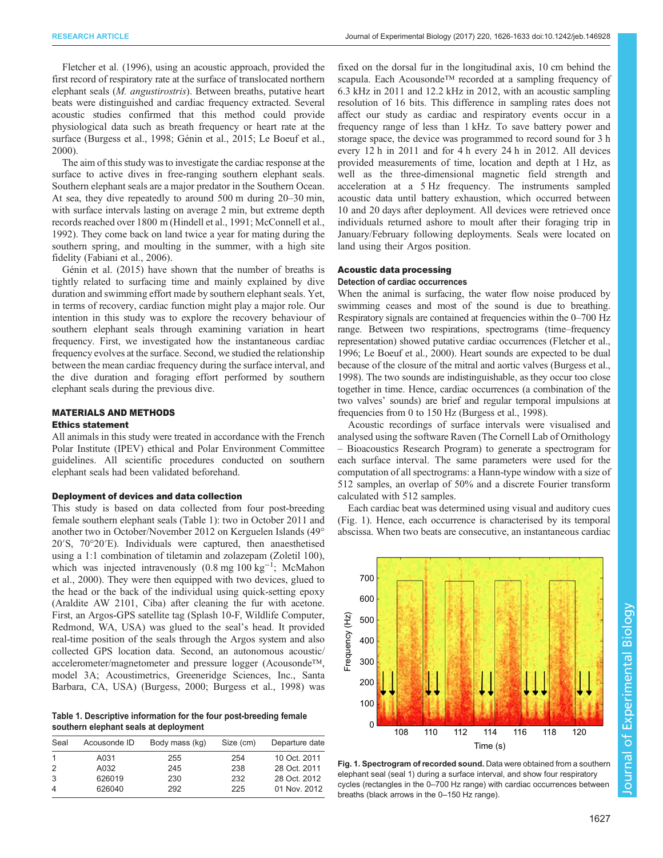[Fletcher et al. \(1996\)](#page-6-0), using an acoustic approach, provided the first record of respiratory rate at the surface of translocated northern elephant seals (M. angustirostris). Between breaths, putative heart beats were distinguished and cardiac frequency extracted. Several acoustic studies confirmed that this method could provide physiological data such as breath frequency or heart rate at the surface [\(Burgess et al., 1998](#page-6-0); [Génin et al., 2015; Le Boeuf et al.,](#page-6-0) [2000](#page-6-0)).

The aim of this study was to investigate the cardiac response at the surface to active dives in free-ranging southern elephant seals. Southern elephant seals are a major predator in the Southern Ocean. At sea, they dive repeatedly to around 500 m during 20–30 min, with surface intervals lasting on average 2 min, but extreme depth records reached over 1800 m ([Hindell et al., 1991](#page-6-0); [McConnell et al.,](#page-7-0) [1992](#page-7-0)). They come back on land twice a year for mating during the southern spring, and moulting in the summer, with a high site fidelity ([Fabiani et al., 2006](#page-6-0)).

[Génin et al. \(2015\)](#page-6-0) have shown that the number of breaths is tightly related to surfacing time and mainly explained by dive duration and swimming effort made by southern elephant seals. Yet, in terms of recovery, cardiac function might play a major role. Our intention in this study was to explore the recovery behaviour of southern elephant seals through examining variation in heart frequency. First, we investigated how the instantaneous cardiac frequency evolves at the surface. Second, we studied the relationship between the mean cardiac frequency during the surface interval, and the dive duration and foraging effort performed by southern elephant seals during the previous dive.

## MATERIALS AND METHODS

## Ethics statement

All animals in this study were treated in accordance with the French Polar Institute (IPEV) ethical and Polar Environment Committee guidelines. All scientific procedures conducted on southern elephant seals had been validated beforehand.

#### Deployment of devices and data collection

This study is based on data collected from four post-breeding female southern elephant seals (Table 1): two in October 2011 and another two in October/November 2012 on Kerguelen Islands (49° 20′S, 70°20′E). Individuals were captured, then anaesthetised using a 1:1 combination of tiletamin and zolazepam (Zoletil 100), which was injected intravenously  $(0.8 \text{ mg } 100 \text{ kg}^{-1})$ ; [McMahon](#page-7-0) [et al., 2000\)](#page-7-0). They were then equipped with two devices, glued to the head or the back of the individual using quick-setting epoxy (Araldite AW 2101, Ciba) after cleaning the fur with acetone. First, an Argos-GPS satellite tag (Splash 10-F, Wildlife Computer, Redmond, WA, USA) was glued to the seal's head. It provided real-time position of the seals through the Argos system and also collected GPS location data. Second, an autonomous acoustic/ accelerometer/magnetometer and pressure logger (Acousonde™, model 3A; Acoustimetrics, Greeneridge Sciences, Inc., Santa Barbara, CA, USA) ([Burgess, 2000; Burgess et al., 1998\)](#page-6-0) was

Table 1. Descriptive information for the four post-breeding female southern elephant seals at deployment

| Seal           | Acousonde ID | Body mass (kg) | Size (cm) | Departure date |
|----------------|--------------|----------------|-----------|----------------|
|                | A031         | 255            | 254       | 10 Oct. 2011   |
| 2              | A032         | 245            | 238       | 28 Oct. 2011   |
| 3              | 626019       | 230            | 232       | 28 Oct. 2012   |
| $\overline{4}$ | 626040       | 292            | 225       | 01 Nov. 2012   |

fixed on the dorsal fur in the longitudinal axis, 10 cm behind the scapula. Each Acousonde<sup>™</sup> recorded at a sampling frequency of 6.3 kHz in 2011 and 12.2 kHz in 2012, with an acoustic sampling resolution of 16 bits. This difference in sampling rates does not affect our study as cardiac and respiratory events occur in a frequency range of less than 1 kHz. To save battery power and storage space, the device was programmed to record sound for 3 h every 12 h in 2011 and for 4 h every 24 h in 2012. All devices provided measurements of time, location and depth at 1 Hz, as well as the three-dimensional magnetic field strength and acceleration at a 5 Hz frequency. The instruments sampled acoustic data until battery exhaustion, which occurred between 10 and 20 days after deployment. All devices were retrieved once individuals returned ashore to moult after their foraging trip in January/February following deployments. Seals were located on land using their Argos position.

## Acoustic data processing

## Detection of cardiac occurrences

When the animal is surfacing, the water flow noise produced by swimming ceases and most of the sound is due to breathing. Respiratory signals are contained at frequencies within the 0–700 Hz range. Between two respirations, spectrograms (time–frequency representation) showed putative cardiac occurrences ([Fletcher et al.,](#page-6-0) [1996; Le Boeuf et al., 2000\)](#page-6-0). Heart sounds are expected to be dual because of the closure of the mitral and aortic valves ([Burgess et al.,](#page-6-0) [1998\)](#page-6-0). The two sounds are indistinguishable, as they occur too close together in time. Hence, cardiac occurrences (a combination of the two valves' sounds) are brief and regular temporal impulsions at frequencies from 0 to 150 Hz [\(Burgess et al., 1998](#page-6-0)).

Acoustic recordings of surface intervals were visualised and analysed using the software Raven (The Cornell Lab of Ornithology – Bioacoustics Research Program) to generate a spectrogram for each surface interval. The same parameters were used for the computation of all spectrograms: a Hann-type window with a size of 512 samples, an overlap of 50% and a discrete Fourier transform calculated with 512 samples.

Each cardiac beat was determined using visual and auditory cues (Fig. 1). Hence, each occurrence is characterised by its temporal abscissa. When two beats are consecutive, an instantaneous cardiac



Fig. 1. Spectrogram of recorded sound. Data were obtained from a southern elephant seal (seal 1) during a surface interval, and show four respiratory cycles (rectangles in the 0–700 Hz range) with cardiac occurrences between breaths (black arrows in the 0–150 Hz range).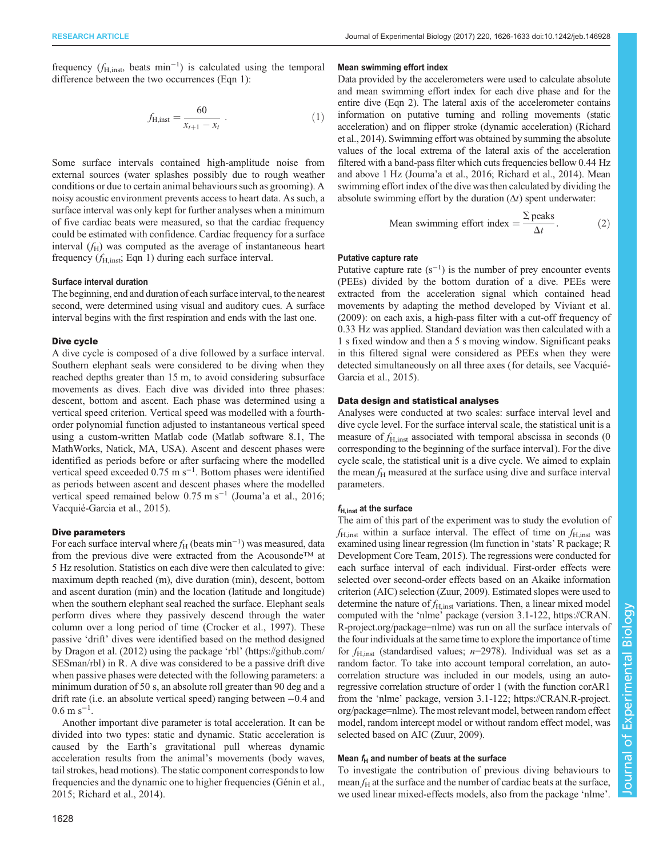frequency  $(f_{\text{H,inst}})$  beats min<sup>-1</sup>) is calculated using the temporal difference between the two occurrences (Eqn 1):

$$
f_{\rm H,inst} = \frac{60}{x_{t+1} - x_t} \ . \tag{1}
$$

Some surface intervals contained high-amplitude noise from external sources (water splashes possibly due to rough weather conditions or due to certain animal behaviours such as grooming). A noisy acoustic environment prevents access to heart data. As such, a surface interval was only kept for further analyses when a minimum of five cardiac beats were measured, so that the cardiac frequency could be estimated with confidence. Cardiac frequency for a surface interval  $(f_H)$  was computed as the average of instantaneous heart frequency  $(f<sub>H,inst</sub>; Eqn 1)$  during each surface interval.

#### Surface interval duration

The beginning, end and duration of each surface interval, to the nearest second, were determined using visual and auditory cues. A surface interval begins with the first respiration and ends with the last one.

#### Dive cycle

A dive cycle is composed of a dive followed by a surface interval. Southern elephant seals were considered to be diving when they reached depths greater than 15 m, to avoid considering subsurface movements as dives. Each dive was divided into three phases: descent, bottom and ascent. Each phase was determined using a vertical speed criterion. Vertical speed was modelled with a fourthorder polynomial function adjusted to instantaneous vertical speed using a custom-written Matlab code (Matlab software 8.1, The MathWorks, Natick, MA, USA). Ascent and descent phases were identified as periods before or after surfacing where the modelled vertical speed exceeded 0.75 m s−<sup>1</sup> . Bottom phases were identified as periods between ascent and descent phases where the modelled vertical speed remained below 0.75 m s−<sup>1</sup> (Jouma'[a et al., 2016](#page-6-0); [Vacquié-Garcia et al., 2015](#page-7-0)).

#### Dive parameters

For each surface interval where  $f_H$  (beats min<sup>-1</sup>) was measured, data from the previous dive were extracted from the Acousonde™ at 5 Hz resolution. Statistics on each dive were then calculated to give: maximum depth reached (m), dive duration (min), descent, bottom and ascent duration (min) and the location (latitude and longitude) when the southern elephant seal reached the surface. Elephant seals perform dives where they passively descend through the water column over a long period of time ([Crocker et al., 1997](#page-6-0)). These passive 'drift' dives were identified based on the method designed by [Dragon et al. \(2012\)](#page-6-0) using the package 'rbl' [\(https://github.com/](https://github.com/SESman/rbl) [SESman/rbl](https://github.com/SESman/rbl)) in R. A dive was considered to be a passive drift dive when passive phases were detected with the following parameters: a minimum duration of 50 s, an absolute roll greater than 90 deg and a drift rate (i.e. an absolute vertical speed) ranging between −0.4 and  $0.6 \text{ m s}^{-1}$ .

Another important dive parameter is total acceleration. It can be divided into two types: static and dynamic. Static acceleration is caused by the Earth's gravitational pull whereas dynamic acceleration results from the animal's movements (body waves, tail strokes, head motions). The static component corresponds to low frequencies and the dynamic one to higher frequencies ([Génin et al.,](#page-6-0) [2015](#page-6-0); [Richard et al., 2014](#page-7-0)).

### Mean swimming effort index

Data provided by the accelerometers were used to calculate absolute and mean swimming effort index for each dive phase and for the entire dive (Eqn 2). The lateral axis of the accelerometer contains information on putative turning and rolling movements (static acceleration) and on flipper stroke (dynamic acceleration) ([Richard](#page-7-0) [et al., 2014\)](#page-7-0). Swimming effort was obtained by summing the absolute values of the local extrema of the lateral axis of the acceleration filtered with a band-pass filter which cuts frequencies bellow 0.44 Hz and above 1 Hz (Jouma'[a et al., 2016](#page-6-0); [Richard et al., 2014](#page-7-0)). Mean swimming effort index of the dive was then calculated by dividing the absolute swimming effort by the duration  $(\Delta t)$  spent underwater:

Mean swimming effort index 
$$
=\frac{\sum \text{ peaks}}{\Delta t}
$$
. (2)

## Putative capture rate

Putative capture rate  $(s^{-1})$  is the number of prey encounter events (PEEs) divided by the bottom duration of a dive. PEEs were extracted from the acceleration signal which contained head movements by adapting the method developed by [Viviant et al.](#page-7-0) [\(2009\)](#page-7-0): on each axis, a high-pass filter with a cut-off frequency of 0.33 Hz was applied. Standard deviation was then calculated with a 1 s fixed window and then a 5 s moving window. Significant peaks in this filtered signal were considered as PEEs when they were detected simultaneously on all three axes (for details, see [Vacquié-](#page-7-0)[Garcia et al., 2015](#page-7-0)).

### Data design and statistical analyses

Analyses were conducted at two scales: surface interval level and dive cycle level. For the surface interval scale, the statistical unit is a measure of  $f<sub>H inst</sub>$  associated with temporal abscissa in seconds (0) corresponding to the beginning of the surface interval). For the dive cycle scale, the statistical unit is a dive cycle. We aimed to explain the mean  $f<sub>H</sub>$  measured at the surface using dive and surface interval parameters.

## $f_{\rm H,inst}$  at the surface

The aim of this part of the experiment was to study the evolution of  $f_{\text{H,inst}}$  within a surface interval. The effect of time on  $f_{\text{H,inst}}$  was examined using linear regression (lm function in 'stats' R package; [R](#page-7-0) [Development Core Team, 2015\)](#page-7-0). The regressions were conducted for each surface interval of each individual. First-order effects were selected over second-order effects based on an Akaike information criterion (AIC) selection [\(Zuur, 2009](#page-7-0)). Estimated slopes were used to determine the nature of  $f_{\text{H,inst}}$  variations. Then, a linear mixed model computed with the 'nlme' package (version 3.1-122, [https://CRAN.](https://CRAN.R-project.org/package=nlme) [R-project.org/package=nlme](https://CRAN.R-project.org/package=nlme)) was run on all the surface intervals of the four individuals at the same time to explore the importance of time for  $f_{\text{H inst}}$  (standardised values; n=2978). Individual was set as a random factor. To take into account temporal correlation, an autocorrelation structure was included in our models, using an autoregressive correlation structure of order 1 (with the function corAR1 from the 'nlme' package, version 3.1-122; [https://CRAN.R-project.](https://CRAN.R-project.org/package=nlme) [org/package=nlme\)](https://CRAN.R-project.org/package=nlme). The most relevant model, between random effect model, random intercept model or without random effect model, was selected based on AIC [\(Zuur, 2009](#page-7-0)).

## Mean  $f_H$  and number of beats at the surface

To investigate the contribution of previous diving behaviours to mean  $f_H$  at the surface and the number of cardiac beats at the surface, we used linear mixed-effects models, also from the package 'nlme'.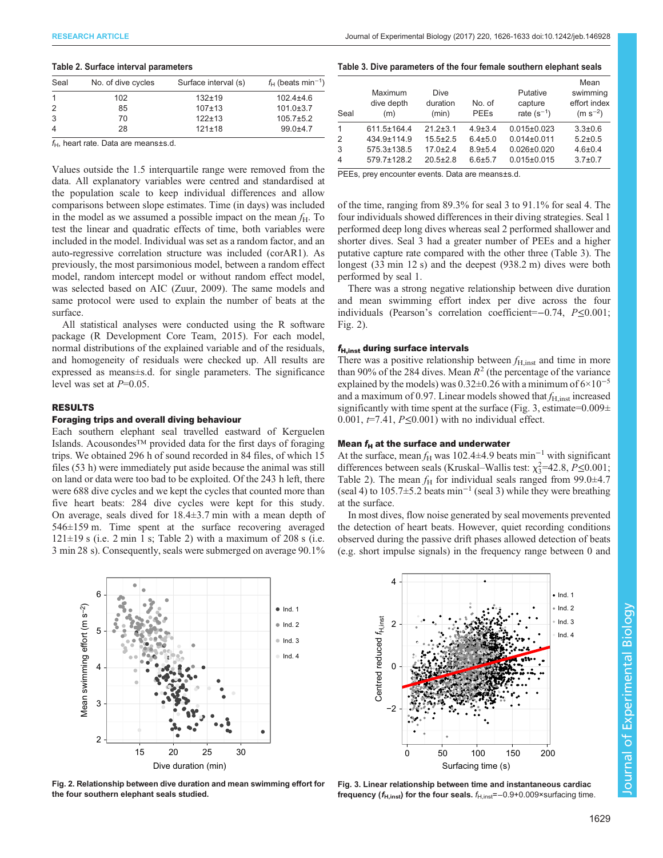#### <span id="page-3-0"></span>Table 2. Surface interval parameters

| No. of dive cycles | Surface interval (s) | $f_H$ (beats min <sup>-1</sup> ) |
|--------------------|----------------------|----------------------------------|
| 102                | $132 + 19$           | $102.4 + 4.6$                    |
| 85                 | $107 + 13$           | $101.0 \pm 3.7$                  |
| 70                 | $122 + 13$           | $105.7 \pm 5.2$                  |
| 28                 | $121 \pm 18$         | $99.0 + 4.7$                     |
|                    |                      |                                  |

 $f_H$ , heart rate. Data are means $\pm$ s.d.

Values outside the 1.5 interquartile range were removed from the data. All explanatory variables were centred and standardised at the population scale to keep individual differences and allow comparisons between slope estimates. Time (in days) was included in the model as we assumed a possible impact on the mean  $f_{\rm H}$ . To test the linear and quadratic effects of time, both variables were included in the model. Individual was set as a random factor, and an auto-regressive correlation structure was included (corAR1). As previously, the most parsimonious model, between a random effect model, random intercept model or without random effect model, was selected based on AIC [\(Zuur, 2009\)](#page-7-0). The same models and same protocol were used to explain the number of beats at the surface.

All statistical analyses were conducted using the R software package ([R Development Core Team, 2015\)](#page-7-0). For each model, normal distributions of the explained variable and of the residuals, and homogeneity of residuals were checked up. All results are expressed as means±s.d. for single parameters. The significance level was set at  $P=0.05$ .

## RESULTS

#### Foraging trips and overall diving behaviour

Each southern elephant seal travelled eastward of Kerguelen Islands. Acousondes™ provided data for the first days of foraging trips. We obtained 296 h of sound recorded in 84 files, of which 15 files (53 h) were immediately put aside because the animal was still on land or data were too bad to be exploited. Of the 243 h left, there were 688 dive cycles and we kept the cycles that counted more than five heart beats: 284 dive cycles were kept for this study. On average, seals dived for 18.4±3.7 min with a mean depth of 546±159 m. Time spent at the surface recovering averaged  $121\pm19$  s (i.e. 2 min 1 s; Table 2) with a maximum of 208 s (i.e. 3 min 28 s). Consequently, seals were submerged on average 90.1%



Fig. 2. Relationship between dive duration and mean swimming effort for the four southern elephant seals studied.

|  | Table 3. Dive parameters of the four female southern elephant seals |  |
|--|---------------------------------------------------------------------|--|
|  |                                                                     |  |

| Seal           | Maximum<br>dive depth<br>(m) | <b>Dive</b><br>duration<br>(min) | No. of<br><b>PEE<sub>s</sub></b> | Putative<br>capture<br>rate $(s^{-1})$ | Mean<br>swimming<br>effort index<br>$(m s^{-2})$ |
|----------------|------------------------------|----------------------------------|----------------------------------|----------------------------------------|--------------------------------------------------|
| 1              | 611.5±164.4                  | $21.2 \pm 3.1$                   | $4.9 \pm 3.4$                    | $0.015 \pm 0.023$                      | $3.3 \pm 0.6$                                    |
| 2              | 434.9±114.9                  | $15.5 \pm 2.5$                   | $6.4 \pm 5.0$                    | $0.014 \pm 0.011$                      | $5.2 \pm 0.5$                                    |
| 3              | $575.3 \pm 138.5$            | $17.0 \pm 2.4$                   | $8.9 + 5.4$                      | $0.026 \pm 0.020$                      | $4.6 \pm 0.4$                                    |
| $\overline{4}$ | 579.7±128.2                  | $20.5 \pm 2.8$                   | $6.6 + 5.7$                      | $0.015 \pm 0.015$                      | $3.7 \pm 0.7$                                    |

PEEs, prey encounter events. Data are means±s.d.

of the time, ranging from 89.3% for seal 3 to 91.1% for seal 4. The four individuals showed differences in their diving strategies. Seal 1 performed deep long dives whereas seal 2 performed shallower and shorter dives. Seal 3 had a greater number of PEEs and a higher putative capture rate compared with the other three (Table 3). The longest (33 min 12 s) and the deepest (938.2 m) dives were both performed by seal 1.

There was a strong negative relationship between dive duration and mean swimming effort index per dive across the four individuals (Pearson's correlation coefficient=−0.74, P≤0.001; Fig. 2).

#### $f_{\rm H,inst}$  during surface intervals

There was a positive relationship between  $f_{\rm H,inst}$  and time in more than 90% of the 284 dives. Mean  $R^2$  (the percentage of the variance explained by the models) was  $0.32\pm0.26$  with a minimum of  $6\times10^{-5}$ and a maximum of 0.97. Linear models showed that  $f_{\text{H,inst}}$  increased significantly with time spent at the surface (Fig. 3, estimate= $0.009\pm$ 0.001,  $t=7.41$ ,  $P\leq 0.001$ ) with no individual effect.

#### Mean  $f_H$  at the surface and underwater

At the surface, mean  $f_H$  was 102.4±4.9 beats min<sup>-1</sup> with significant differences between seals (Kruskal–Wallis test:  $\chi_3^2$ =42.8, P $\leq$ 0.001; Table 2). The mean  $f_H$  for individual seals ranged from 99.0 $\pm$ 4.7 (seal 4) to 105.7±5.2 beats min−<sup>1</sup> (seal 3) while they were breathing at the surface.

In most dives, flow noise generated by seal movements prevented the detection of heart beats. However, quiet recording conditions observed during the passive drift phases allowed detection of beats (e.g. short impulse signals) in the frequency range between 0 and



Fig. 3. Linear relationship between time and instantaneous cardiac frequency ( $f_{H,inst}$ ) for the four seals.  $f_{H,inst}$ =−0.9+0.009×surfacing time.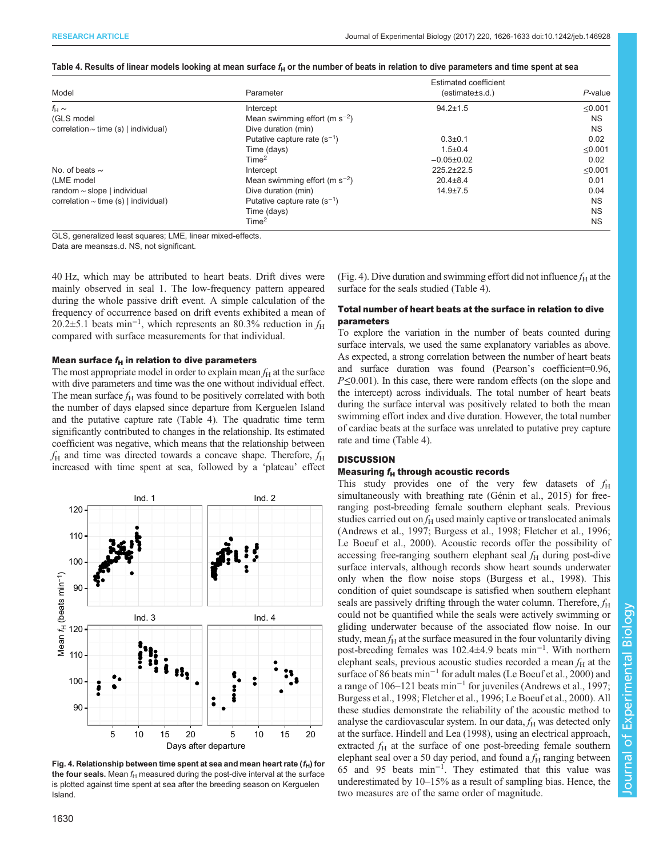#### <span id="page-4-0"></span>Table 4. Results of linear models looking at mean surface  $f_H$  or the number of beats in relation to dive parameters and time spent at sea

|                                           |                                    | Estimated coefficient |              |
|-------------------------------------------|------------------------------------|-----------------------|--------------|
| Model                                     | Parameter                          | (estimate±s.d.)       | $P$ -value   |
| $f_H \sim$                                | Intercept                          | $94.2 \pm 1.5$        | $\leq 0.001$ |
| (GLS model                                | Mean swimming effort (m $s^{-2}$ ) |                       | <b>NS</b>    |
| correlation $\sim$ time (s)   individual) | Dive duration (min)                |                       | <b>NS</b>    |
|                                           | Putative capture rate $(s^{-1})$   | $0.3 \pm 0.1$         | 0.02         |
|                                           | Time (days)                        | $1.5 \pm 0.4$         | $\leq 0.001$ |
|                                           | Time <sup>2</sup>                  | $-0.05\pm0.02$        | 0.02         |
| No. of beats $\sim$                       | Intercept                          | 225.2±22.5            | $\leq 0.001$ |
| (LME model                                | Mean swimming effort (m $s^{-2}$ ) | $20.4 \pm 8.4$        | 0.01         |
| random $\sim$ slope   individual          | Dive duration (min)                | $14.9 \pm 7.5$        | 0.04         |
| correlation $\sim$ time (s)   individual) | Putative capture rate $(s^{-1})$   |                       | <b>NS</b>    |
|                                           | Time (days)                        |                       | <b>NS</b>    |
|                                           | Time <sup>2</sup>                  |                       | <b>NS</b>    |

GLS, generalized least squares; LME, linear mixed-effects.

Data are means±s.d. NS, not significant.

40 Hz, which may be attributed to heart beats. Drift dives were mainly observed in seal 1. The low-frequency pattern appeared during the whole passive drift event. A simple calculation of the frequency of occurrence based on drift events exhibited a mean of 20.2 $\pm$ 5.1 beats min<sup>-1</sup>, which represents an 80.3% reduction in  $f_H$ compared with surface measurements for that individual.

## Mean surface  $f_H$  in relation to dive parameters

The most appropriate model in order to explain mean  $f<sub>H</sub>$  at the surface with dive parameters and time was the one without individual effect. The mean surface  $f_H$  was found to be positively correlated with both the number of days elapsed since departure from Kerguelen Island and the putative capture rate (Table 4). The quadratic time term significantly contributed to changes in the relationship. Its estimated coefficient was negative, which means that the relationship between  $f_{\rm H}$  and time was directed towards a concave shape. Therefore,  $f_{\rm H}$ increased with time spent at sea, followed by a 'plateau' effect



Fig. 4. Relationship between time spent at sea and mean heart rate  $(f_H)$  for the four seals. Mean  $f_H$  measured during the post-dive interval at the surface is plotted against time spent at sea after the breeding season on Kerguelen Island.

(Fig. 4). Dive duration and swimming effort did not influence  $f_H$  at the surface for the seals studied (Table 4).

## Total number of heart beats at the surface in relation to dive parameters

To explore the variation in the number of beats counted during surface intervals, we used the same explanatory variables as above. As expected, a strong correlation between the number of heart beats and surface duration was found (Pearson's coefficient=0.96, P≤0.001). In this case, there were random effects (on the slope and the intercept) across individuals. The total number of heart beats during the surface interval was positively related to both the mean swimming effort index and dive duration. However, the total number of cardiac beats at the surface was unrelated to putative prey capture rate and time (Table 4).

## **DISCUSSION**

## Measuring  $f_H$  through acoustic records

This study provides one of the very few datasets of  $f_H$ simultaneously with breathing rate [\(Génin et al., 2015\)](#page-6-0) for freeranging post-breeding female southern elephant seals. Previous studies carried out on  $f_H$  used mainly captive or translocated animals [\(Andrews et al., 1997](#page-6-0); [Burgess et al., 1998](#page-6-0); [Fletcher et al., 1996](#page-6-0); [Le Boeuf et al., 2000\)](#page-6-0). Acoustic records offer the possibility of accessing free-ranging southern elephant seal  $f_H$  during post-dive surface intervals, although records show heart sounds underwater only when the flow noise stops ([Burgess et al., 1998](#page-6-0)). This condition of quiet soundscape is satisfied when southern elephant seals are passively drifting through the water column. Therefore,  $f_H$ could not be quantified while the seals were actively swimming or gliding underwater because of the associated flow noise. In our study, mean  $f_H$  at the surface measured in the four voluntarily diving post-breeding females was 102.4±4.9 beats min−<sup>1</sup> . With northern elephant seals, previous acoustic studies recorded a mean  $f<sub>H</sub>$  at the surface of 86 beats min<sup>-1</sup> for adult males ([Le Boeuf et al., 2000](#page-6-0)) and a range of 106–121 beats min−<sup>1</sup> for juveniles [\(Andrews et al., 1997](#page-6-0); [Burgess et al., 1998](#page-6-0); [Fletcher et al., 1996; Le Boeuf et al., 2000\)](#page-6-0). All these studies demonstrate the reliability of the acoustic method to analyse the cardiovascular system. In our data,  $f_H$  was detected only at the surface. [Hindell and Lea \(1998\),](#page-6-0) using an electrical approach, extracted  $f_H$  at the surface of one post-breeding female southern elephant seal over a 50 day period, and found a  $f<sub>H</sub>$  ranging between 65 and 95 beats min−<sup>1</sup> . They estimated that this value was underestimated by 10–15% as a result of sampling bias. Hence, the two measures are of the same order of magnitude.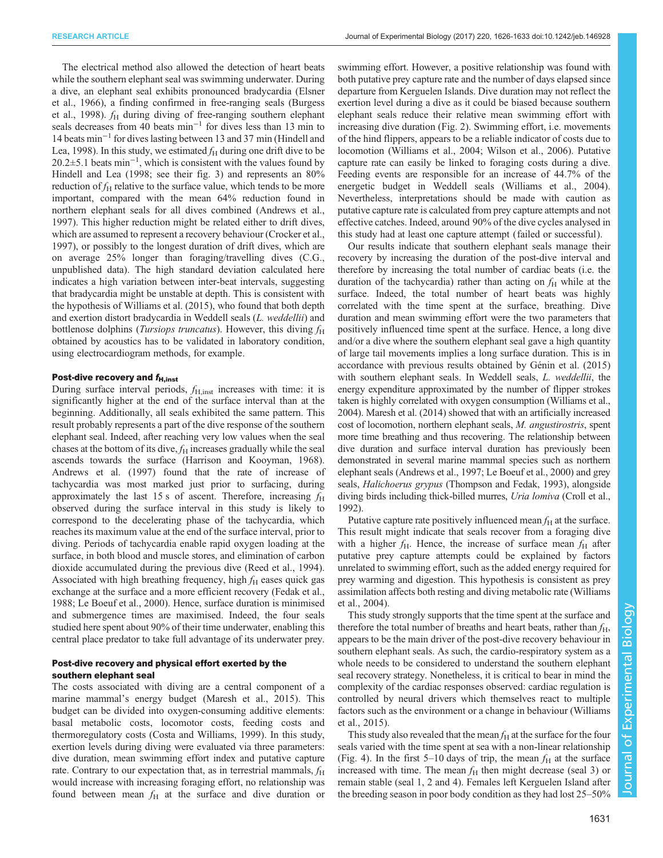The electrical method also allowed the detection of heart beats while the southern elephant seal was swimming underwater. During a dive, an elephant seal exhibits pronounced bradycardia ([Elsner](#page-6-0) [et al., 1966\)](#page-6-0), a finding confirmed in free-ranging seals ([Burgess](#page-6-0) [et al., 1998\)](#page-6-0).  $f<sub>H</sub>$  during diving of free-ranging southern elephant seals decreases from 40 beats min<sup>-1</sup> for dives less than 13 min to 14 beats min−<sup>1</sup> for dives lasting between 13 and 37 min [\(Hindell and](#page-6-0) [Lea, 1998](#page-6-0)). In this study, we estimated  $f_H$  during one drift dive to be 20.2±5.1 beats min−<sup>1</sup> , which is consistent with the values found by [Hindell and Lea \(1998](#page-6-0); see their fig. 3) and represents an 80% reduction of  $f_H$  relative to the surface value, which tends to be more important, compared with the mean 64% reduction found in northern elephant seals for all dives combined ([Andrews et al.,](#page-6-0) [1997](#page-6-0)). This higher reduction might be related either to drift dives, which are assumed to represent a recovery behaviour [\(Crocker et al.,](#page-6-0) [1997](#page-6-0)), or possibly to the longest duration of drift dives, which are on average 25% longer than foraging/travelling dives (C.G., unpublished data). The high standard deviation calculated here indicates a high variation between inter-beat intervals, suggesting that bradycardia might be unstable at depth. This is consistent with the hypothesis of [Williams et al. \(2015\)](#page-7-0), who found that both depth and exertion distort bradycardia in Weddell seals (L. weddellii) and bottlenose dolphins (*Tursiops truncatus*). However, this diving  $f_H$ obtained by acoustics has to be validated in laboratory condition, using electrocardiogram methods, for example.

#### Post-dive recovery and  $f_{\text{H,inst}}$

During surface interval periods,  $f_{\rm H,inst}$  increases with time: it is significantly higher at the end of the surface interval than at the beginning. Additionally, all seals exhibited the same pattern. This result probably represents a part of the dive response of the southern elephant seal. Indeed, after reaching very low values when the seal chases at the bottom of its dive,  $f_H$  increases gradually while the seal ascends towards the surface [\(Harrison and Kooyman, 1968\)](#page-6-0). [Andrews et al. \(1997\)](#page-6-0) found that the rate of increase of tachycardia was most marked just prior to surfacing, during approximately the last 15 s of ascent. Therefore, increasing  $f<sub>H</sub>$ observed during the surface interval in this study is likely to correspond to the decelerating phase of the tachycardia, which reaches its maximum value at the end of the surface interval, prior to diving. Periods of tachycardia enable rapid oxygen loading at the surface, in both blood and muscle stores, and elimination of carbon dioxide accumulated during the previous dive [\(Reed et al., 1994\)](#page-7-0). Associated with high breathing frequency, high  $f_H$  eases quick gas exchange at the surface and a more efficient recovery [\(Fedak et al.,](#page-6-0) [1988](#page-6-0); [Le Boeuf et al., 2000](#page-6-0)). Hence, surface duration is minimised and submergence times are maximised. Indeed, the four seals studied here spent about 90% of their time underwater, enabling this central place predator to take full advantage of its underwater prey.

## Post-dive recovery and physical effort exerted by the southern elephant seal

The costs associated with diving are a central component of a marine mammal's energy budget ([Maresh et al., 2015](#page-7-0)). This budget can be divided into oxygen-consuming additive elements: basal metabolic costs, locomotor costs, feeding costs and thermoregulatory costs ([Costa and Williams, 1999](#page-6-0)). In this study, exertion levels during diving were evaluated via three parameters: dive duration, mean swimming effort index and putative capture rate. Contrary to our expectation that, as in terrestrial mammals,  $f_H$ would increase with increasing foraging effort, no relationship was found between mean  $f<sub>H</sub>$  at the surface and dive duration or

swimming effort. However, a positive relationship was found with both putative prey capture rate and the number of days elapsed since departure from Kerguelen Islands. Dive duration may not reflect the exertion level during a dive as it could be biased because southern elephant seals reduce their relative mean swimming effort with increasing dive duration ([Fig. 2\)](#page-3-0). Swimming effort, i.e. movements of the hind flippers, appears to be a reliable indicator of costs due to locomotion ([Williams et al., 2004; Wilson et al., 2006\)](#page-7-0). Putative capture rate can easily be linked to foraging costs during a dive. Feeding events are responsible for an increase of 44.7% of the energetic budget in Weddell seals ([Williams et al., 2004\)](#page-7-0). Nevertheless, interpretations should be made with caution as putative capture rate is calculated from prey capture attempts and not effective catches. Indeed, around 90% of the dive cycles analysed in this study had at least one capture attempt (failed or successful).

Our results indicate that southern elephant seals manage their recovery by increasing the duration of the post-dive interval and therefore by increasing the total number of cardiac beats (i.e. the duration of the tachycardia) rather than acting on  $f<sub>H</sub>$  while at the surface. Indeed, the total number of heart beats was highly correlated with the time spent at the surface, breathing. Dive duration and mean swimming effort were the two parameters that positively influenced time spent at the surface. Hence, a long dive and/or a dive where the southern elephant seal gave a high quantity of large tail movements implies a long surface duration. This is in accordance with previous results obtained by [Génin et al. \(2015\)](#page-6-0) with southern elephant seals. In Weddell seals, *L. weddellii*, the energy expenditure approximated by the number of flipper strokes taken is highly correlated with oxygen consumption [\(Williams et al.,](#page-7-0) [2004\)](#page-7-0). [Maresh et al. \(2014\)](#page-6-0) showed that with an artificially increased cost of locomotion, northern elephant seals, M. angustirostris, spent more time breathing and thus recovering. The relationship between dive duration and surface interval duration has previously been demonstrated in several marine mammal species such as northern elephant seals [\(Andrews et al., 1997; Le Boeuf et al., 2000](#page-6-0)) and grey seals, Halichoerus grypus ([Thompson and Fedak, 1993](#page-7-0)), alongside diving birds including thick-billed murres, Uria lomiva [\(Croll et al.,](#page-6-0) [1992\)](#page-6-0).

Putative capture rate positively influenced mean  $f<sub>H</sub>$  at the surface. This result might indicate that seals recover from a foraging dive with a higher  $f_{\rm H}$ . Hence, the increase of surface mean  $f_{\rm H}$  after putative prey capture attempts could be explained by factors unrelated to swimming effort, such as the added energy required for prey warming and digestion. This hypothesis is consistent as prey assimilation affects both resting and diving metabolic rate ([Williams](#page-7-0) [et al., 2004\)](#page-7-0).

This study strongly supports that the time spent at the surface and therefore the total number of breaths and heart beats, rather than  $f_H$ , appears to be the main driver of the post-dive recovery behaviour in southern elephant seals. As such, the cardio-respiratory system as a whole needs to be considered to understand the southern elephant seal recovery strategy. Nonetheless, it is critical to bear in mind the complexity of the cardiac responses observed: cardiac regulation is controlled by neural drivers which themselves react to multiple factors such as the environment or a change in behaviour ([Williams](#page-7-0) [et al., 2015\)](#page-7-0).

This study also revealed that the mean  $f_H$  at the surface for the four seals varied with the time spent at sea with a non-linear relationship [\(Fig. 4](#page-4-0)). In the first 5–10 days of trip, the mean  $f<sub>H</sub>$  at the surface increased with time. The mean  $f_H$  then might decrease (seal 3) or remain stable (seal 1, 2 and 4). Females left Kerguelen Island after the breeding season in poor body condition as they had lost 25–50%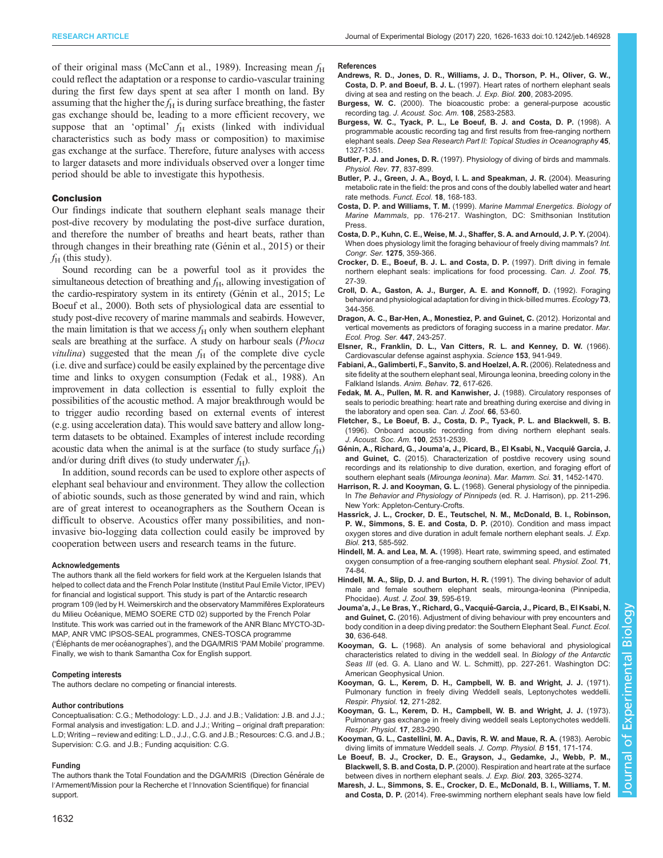<span id="page-6-0"></span>of their original mass [\(McCann et al., 1989](#page-7-0)). Increasing mean  $f<sub>H</sub>$ could reflect the adaptation or a response to cardio-vascular training during the first few days spent at sea after 1 month on land. By assuming that the higher the  $f_H$  is during surface breathing, the faster gas exchange should be, leading to a more efficient recovery, we suppose that an 'optimal'  $f<sub>H</sub>$  exists (linked with individual characteristics such as body mass or composition) to maximise gas exchange at the surface. Therefore, future analyses with access to larger datasets and more individuals observed over a longer time period should be able to investigate this hypothesis.

### Conclusion

Our findings indicate that southern elephant seals manage their post-dive recovery by modulating the post-dive surface duration, and therefore the number of breaths and heart beats, rather than through changes in their breathing rate (Génin et al., 2015) or their  $f_{\rm H}$  (this study).

Sound recording can be a powerful tool as it provides the simultaneous detection of breathing and  $f<sub>H</sub>$ , allowing investigation of the cardio-respiratory system in its entirety (Génin et al., 2015; Le Boeuf et al., 2000). Both sets of physiological data are essential to study post-dive recovery of marine mammals and seabirds. However, the main limitation is that we access  $f<sub>H</sub>$  only when southern elephant seals are breathing at the surface. A study on harbour seals (Phoca *vitulina*) suggested that the mean  $f_H$  of the complete dive cycle (i.e. dive and surface) could be easily explained by the percentage dive time and links to oxygen consumption (Fedak et al., 1988). An improvement in data collection is essential to fully exploit the possibilities of the acoustic method. A major breakthrough would be to trigger audio recording based on external events of interest (e.g. using acceleration data). This would save battery and allow longterm datasets to be obtained. Examples of interest include recording acoustic data when the animal is at the surface (to study surface  $f_H$ ) and/or during drift dives (to study underwater  $f_H$ ).

In addition, sound records can be used to explore other aspects of elephant seal behaviour and environment. They allow the collection of abiotic sounds, such as those generated by wind and rain, which are of great interest to oceanographers as the Southern Ocean is difficult to observe. Acoustics offer many possibilities, and noninvasive bio-logging data collection could easily be improved by cooperation between users and research teams in the future.

#### Acknowledgements

The authors thank all the field workers for field work at the Kerguelen Islands that helped to collect data and the French Polar Institute (Institut Paul Emile Victor, IPEV) for financial and logistical support. This study is part of the Antarctic research program 109 (led by H. Weimerskirch and the observatory Mammifè res Explorateurs du Milieu Océanique, MEMO SOERE CTD 02) supported by the French Polar Institute. This work was carried out in the framework of the ANR Blanc MYCTO-3D-MAP, ANR VMC IPSOS-SEAL programmes, CNES-TOSCA programme ('Éléphants de mer océanographes'), and the DGA/MRIS 'PAM Mobile' programme. Finally, we wish to thank Samantha Cox for English support.

#### Competing interests

The authors declare no competing or financial interests.

#### Author contributions

Conceptualisation: C.G.; Methodology: L.D., J.J. and J.B.; Validation: J.B. and J.J.; Formal analysis and investigation: L.D. and J.J.; Writing – original draft preparation: L.D; Writing – review and editing: L.D., J.J., C.G. and J.B.; Resources: C.G. and J.B.; Supervision: C.G. and J.B.; Funding acquisition: C.G.

#### Funding

The authors thank the Total Foundation and the DGA/MRIS (Direction Générale de l′Armement/Mission pour la Recherche et l′Innovation Scientifique) for financial support.

- Andrews, R. D., Jones, D. R., Williams, J. D., Thorson, P. H., Oliver, G. W., Costa, D. P. and Boeuf, B. J. L. (1997). Heart rates of northern elephant seals diving at sea and resting on the beach. J. Exp. Biol. 200, 2083-2095.
- Burgess, W. C. [\(2000\). The bioacoustic probe: a general-purpose acoustic](http://dx.doi.org/10.1121/1.4743598) recording tag. [J. Acoust. Soc. Am.](http://dx.doi.org/10.1121/1.4743598) 108, 2583-2583.
- [Burgess, W. C., Tyack, P. L., Le Boeuf, B. J. and Costa, D. P.](http://dx.doi.org/10.1016/S0967-0645(98)00032-0) (1998). A [programmable acoustic recording tag and first results from free-ranging northern](http://dx.doi.org/10.1016/S0967-0645(98)00032-0) elephant seals. [Deep Sea Research Part II: Topical Studies in Oceanography](http://dx.doi.org/10.1016/S0967-0645(98)00032-0) 45, [1327-1351.](http://dx.doi.org/10.1016/S0967-0645(98)00032-0)
- Butler, P. J. and Jones, D. R. (1997). Physiology of diving of birds and mammals. Physiol. Rev. 77, 837-899.
- [Butler, P. J., Green, J. A., Boyd, I. L. and Speakman, J. R.](http://dx.doi.org/10.1111/j.0269-8463.2004.00821.x) (2004). Measuring [metabolic rate in the field: the pros and cons of the doubly labelled water and heart](http://dx.doi.org/10.1111/j.0269-8463.2004.00821.x) [rate methods.](http://dx.doi.org/10.1111/j.0269-8463.2004.00821.x) Funct. Ecol. 18, 168-183.
- Costa, D. P. and Williams, T. M. (1999). Marine Mammal Energetics. Biology of Marine Mammals, pp. 176-217. Washington, DC: Smithsonian Institution Press.
- [Costa, D. P., Kuhn, C. E., Weise, M. J., Shaffer, S. A. and Arnould, J. P. Y.](http://dx.doi.org/10.1016/j.ics.2004.08.058) (2004). [When does physiology limit the foraging behaviour of freely diving mammals?](http://dx.doi.org/10.1016/j.ics.2004.08.058) Int. [Congr. Ser.](http://dx.doi.org/10.1016/j.ics.2004.08.058) 1275, 359-366.
- [Crocker, D. E., Boeuf, B. J. L. and Costa, D. P.](http://dx.doi.org/10.1139/z97-004) (1997). Drift diving in female [northern elephant seals: implications for food processing.](http://dx.doi.org/10.1139/z97-004) Can. J. Zool. 75, [27-39.](http://dx.doi.org/10.1139/z97-004)
- [Croll, D. A., Gaston, A. J., Burger, A. E. and Konnoff, D.](http://dx.doi.org/10.2307/1938746) (1992). Foraging [behavior and physiological adaptation for diving in thick-billed murres.](http://dx.doi.org/10.2307/1938746) Ecology 73, [344-356.](http://dx.doi.org/10.2307/1938746)
- [Dragon, A. C., Bar-Hen, A., Monestiez, P. and Guinet, C.](http://dx.doi.org/10.3354/meps09498) (2012). Horizontal and [vertical movements as predictors of foraging success in a marine predator.](http://dx.doi.org/10.3354/meps09498) Mar. [Ecol. Prog. Ser.](http://dx.doi.org/10.3354/meps09498) 447, 243-257.
- [Elsner, R., Franklin, D. L., Van Citters, R. L. and Kenney, D. W.](http://dx.doi.org/10.1126/science.153.3739.941) (1966). [Cardiovascular defense against asphyxia.](http://dx.doi.org/10.1126/science.153.3739.941) Science 153, 941-949.
- [Fabiani, A., Galimberti, F., Sanvito, S. and Hoelzel, A. R.](http://dx.doi.org/10.1016/j.anbehav.2005.11.024) (2006). Relatedness and [site fidelity at the southern elephant seal, Mirounga leonina, breeding colony in the](http://dx.doi.org/10.1016/j.anbehav.2005.11.024) [Falkland Islands.](http://dx.doi.org/10.1016/j.anbehav.2005.11.024) Anim. Behav. 72, 617-626.
- [Fedak, M. A., Pullen, M. R. and Kanwisher, J.](http://dx.doi.org/10.1139/z88-007) (1988). Circulatory responses of [seals to periodic breathing: heart rate and breathing during exercise and diving in](http://dx.doi.org/10.1139/z88-007) [the laboratory and open sea.](http://dx.doi.org/10.1139/z88-007) Can. J. Zool. 66, 53-60.
- [Fletcher, S., Le Boeuf, B. J., Costa, D. P., Tyack, P. L. and Blackwell, S. B.](http://dx.doi.org/10.1121/1.417361) [\(1996\). Onboard acoustic recording from diving northern elephant seals.](http://dx.doi.org/10.1121/1.417361) [J. Acoust. Soc. Am.](http://dx.doi.org/10.1121/1.417361) 100, 2531-2539.
- Génin, A., Richard, G., Jouma'a, J., Picard, B., El Ksabi, N., Vacquié Garcia, J. and Guinet, C. [\(2015\). Characterization of postdive recovery using sound](http://dx.doi.org/10.1111/mms.12235) [recordings and its relationship to dive duration, exertion, and foraging effort of](http://dx.doi.org/10.1111/mms.12235) [southern elephant seals \(](http://dx.doi.org/10.1111/mms.12235)Mirounga leonina). Mar. Mamm. Sci. 31, 1452-1470.
- Harrison, R. J. and Kooyman, G. L. (1968). General physiology of the pinnipedia. In The Behavior and Physiology of Pinnipeds (ed. R. J. Harrison), pp. 211-296. New York: Appleton-Century-Crofts.
- [Hassrick, J. L., Crocker, D. E., Teutschel, N. M., McDonald, B. I., Robinson,](http://dx.doi.org/10.1242/jeb.037168) [P. W., Simmons, S. E. and Costa, D. P.](http://dx.doi.org/10.1242/jeb.037168) (2010). Condition and mass impact [oxygen stores and dive duration in adult female northern elephant seals.](http://dx.doi.org/10.1242/jeb.037168) J. Exp. Biol. 213[, 585-592.](http://dx.doi.org/10.1242/jeb.037168)
- Hindell, M. A. and Lea, M. A. [\(1998\). Heart rate, swimming speed, and estimated](http://dx.doi.org/10.1086/515890) [oxygen consumption of a free-ranging southern elephant seal.](http://dx.doi.org/10.1086/515890) Physiol. Zool. 71, [74-84.](http://dx.doi.org/10.1086/515890)
- [Hindell, M. A., Slip, D. J. and Burton, H. R.](http://dx.doi.org/10.1071/ZO9910595) (1991). The diving behavior of adult [male and female southern elephant seals, mirounga-leonina \(Pinnipedia,](http://dx.doi.org/10.1071/ZO9910595) Phocidae). [Aust. J. Zool.](http://dx.doi.org/10.1071/ZO9910595) 39, 595-619.
- Jouma'[a, J., Le Bras, Y., Richard, G., Vacquie](http://dx.doi.org/10.1111/1365-2435.12514)́-Garcia, J., Picard, B., El Ksabi, N. and Guinet, C. [\(2016\). Adjustment of diving behaviour with prey encounters and](http://dx.doi.org/10.1111/1365-2435.12514) [body condition in a deep diving predator: the Southern Elephant Seal.](http://dx.doi.org/10.1111/1365-2435.12514) Funct. Ecol. 30[, 636-648.](http://dx.doi.org/10.1111/1365-2435.12514)
- Kooyman, G. L. (1968). An analysis of some behavioral and physiological characteristics related to diving in the weddell seal. In Biology of the Antarctic Seas III (ed. G. A. Llano and W. L. Schmitt), pp. 227-261. Washington DC: American Geophysical Union.
- [Kooyman, G. L., Kerem, D. H., Campbell, W. B. and Wright, J. J.](http://dx.doi.org/10.1016/0034-5687(71)90069-7) (1971). [Pulmonary function in freely diving Weddell seals, Leptonychotes weddelli.](http://dx.doi.org/10.1016/0034-5687(71)90069-7) [Respir. Physiol.](http://dx.doi.org/10.1016/0034-5687(71)90069-7) 12, 271-282.
- [Kooyman, G. L., Kerem, D. H., Campbell, W. B. and Wright, J. J.](http://dx.doi.org/10.1016/0034-5687(73)90003-0) (1973). [Pulmonary gas exchange in freely diving weddell seals Leptonychotes weddelli.](http://dx.doi.org/10.1016/0034-5687(73)90003-0) [Respir. Physiol.](http://dx.doi.org/10.1016/0034-5687(73)90003-0) 17, 283-290.
- [Kooyman, G. L., Castellini, M. A., Davis, R. W. and Maue, R. A.](http://dx.doi.org/10.1007/BF00689915) (1983). Aerobic [diving limits of immature Weddell seals.](http://dx.doi.org/10.1007/BF00689915) J. Comp. Physiol. B 151, 171-174.
- Le Boeuf, B. J., Crocker, D. E., Grayson, J., Gedamke, J., Webb, P. M., Blackwell, S. B. and Costa, D. P. (2000). Respiration and heart rate at the surface between dives in northern elephant seals. J. Exp. Biol. 203, 3265-3274.
- [Maresh, J. L., Simmons, S. E., Crocker, D. E., McDonald, B. I., Williams, T. M.](http://dx.doi.org/10.1242/jeb.094201) and Costa, D. P. [\(2014\). Free-swimming northern elephant seals have low field](http://dx.doi.org/10.1242/jeb.094201)